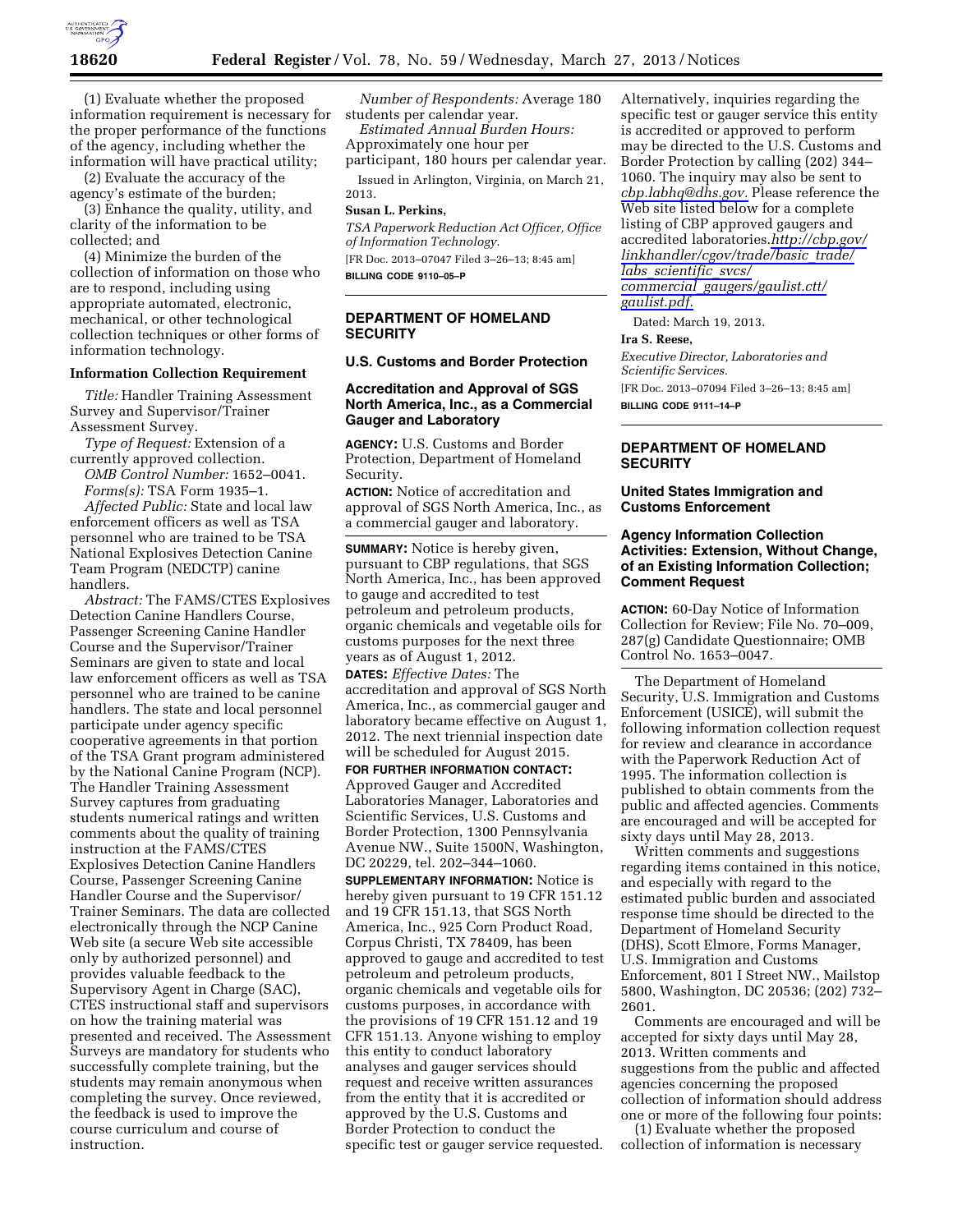

(1) Evaluate whether the proposed information requirement is necessary for the proper performance of the functions of the agency, including whether the information will have practical utility;

(2) Evaluate the accuracy of the agency's estimate of the burden;

(3) Enhance the quality, utility, and clarity of the information to be collected; and

(4) Minimize the burden of the collection of information on those who are to respond, including using appropriate automated, electronic, mechanical, or other technological collection techniques or other forms of information technology.

#### **Information Collection Requirement**

*Title:* Handler Training Assessment Survey and Supervisor/Trainer Assessment Survey.

*Type of Request:* Extension of a currently approved collection.

*OMB Control Number:* 1652–0041. *Forms(s):* TSA Form 1935–1.

*Affected Public:* State and local law enforcement officers as well as TSA personnel who are trained to be TSA National Explosives Detection Canine Team Program (NEDCTP) canine handlers.

*Abstract:* The FAMS/CTES Explosives Detection Canine Handlers Course, Passenger Screening Canine Handler Course and the Supervisor/Trainer Seminars are given to state and local law enforcement officers as well as TSA personnel who are trained to be canine handlers. The state and local personnel participate under agency specific cooperative agreements in that portion of the TSA Grant program administered by the National Canine Program (NCP). The Handler Training Assessment Survey captures from graduating students numerical ratings and written comments about the quality of training instruction at the FAMS/CTES Explosives Detection Canine Handlers Course, Passenger Screening Canine Handler Course and the Supervisor/ Trainer Seminars. The data are collected electronically through the NCP Canine Web site (a secure Web site accessible only by authorized personnel) and provides valuable feedback to the Supervisory Agent in Charge (SAC), CTES instructional staff and supervisors on how the training material was presented and received. The Assessment Surveys are mandatory for students who successfully complete training, but the students may remain anonymous when completing the survey. Once reviewed, the feedback is used to improve the course curriculum and course of instruction.

*Number of Respondents:* Average 180 students per calendar year.

*Estimated Annual Burden Hours:*  Approximately one hour per participant, 180 hours per calendar year.

Issued in Arlington, Virginia, on March 21, 2013.

#### **Susan L. Perkins,**

*TSA Paperwork Reduction Act Officer, Office of Information Technology.*  [FR Doc. 2013–07047 Filed 3–26–13; 8:45 am] **BILLING CODE 9110–05–P** 

#### **DEPARTMENT OF HOMELAND SECURITY**

## **U.S. Customs and Border Protection**

#### **Accreditation and Approval of SGS North America, Inc., as a Commercial Gauger and Laboratory**

**AGENCY:** U.S. Customs and Border Protection, Department of Homeland Security.

**ACTION:** Notice of accreditation and approval of SGS North America, Inc., as a commercial gauger and laboratory.

**SUMMARY:** Notice is hereby given, pursuant to CBP regulations, that SGS North America, Inc., has been approved to gauge and accredited to test petroleum and petroleum products, organic chemicals and vegetable oils for customs purposes for the next three years as of August 1, 2012.

**DATES:** *Effective Dates:* The accreditation and approval of SGS North America, Inc., as commercial gauger and laboratory became effective on August 1, 2012. The next triennial inspection date will be scheduled for August 2015.

**FOR FURTHER INFORMATION CONTACT:**  Approved Gauger and Accredited Laboratories Manager, Laboratories and Scientific Services, U.S. Customs and Border Protection, 1300 Pennsylvania Avenue NW., Suite 1500N, Washington, DC 20229, tel. 202–344–1060.

**SUPPLEMENTARY INFORMATION:** Notice is hereby given pursuant to 19 CFR 151.12 and 19 CFR 151.13, that SGS North America, Inc., 925 Corn Product Road, Corpus Christi, TX 78409, has been approved to gauge and accredited to test petroleum and petroleum products, organic chemicals and vegetable oils for customs purposes, in accordance with the provisions of 19 CFR 151.12 and 19 CFR 151.13. Anyone wishing to employ this entity to conduct laboratory analyses and gauger services should request and receive written assurances from the entity that it is accredited or approved by the U.S. Customs and Border Protection to conduct the specific test or gauger service requested.

Alternatively, inquiries regarding the specific test or gauger service this entity is accredited or approved to perform may be directed to the U.S. Customs and Border Protection by calling (202) 344– 1060. The inquiry may also be sent to *[cbp.labhq@dhs.gov.](mailto:cbp.labhq@dhs.gov)* Please reference the Web site listed below for a complete listing of CBP approved gaugers and accredited laboratories.*[http://cbp.gov/](http://cbp.gov/linkhandler/cgov/trade/basic_trade/labs_scientific_svcs/commercial_gaugers/gaulist.ctt/gaulist.pdf) [linkhandler/cgov/trade/basic](http://cbp.gov/linkhandler/cgov/trade/basic_trade/labs_scientific_svcs/commercial_gaugers/gaulist.ctt/gaulist.pdf)*\_*trade/ labs*\_*[scientific](http://cbp.gov/linkhandler/cgov/trade/basic_trade/labs_scientific_svcs/commercial_gaugers/gaulist.ctt/gaulist.pdf)*\_*svcs/ commercial*\_*[gaugers/gaulist.ctt/](http://cbp.gov/linkhandler/cgov/trade/basic_trade/labs_scientific_svcs/commercial_gaugers/gaulist.ctt/gaulist.pdf) [gaulist.pdf.](http://cbp.gov/linkhandler/cgov/trade/basic_trade/labs_scientific_svcs/commercial_gaugers/gaulist.ctt/gaulist.pdf)* 

Dated: March 19, 2013.

## **Ira S. Reese,**

*Executive Director, Laboratories and Scientific Services.*  [FR Doc. 2013–07094 Filed 3–26–13; 8:45 am]

**BILLING CODE 9111–14–P** 

## **DEPARTMENT OF HOMELAND SECURITY**

#### **United States Immigration and Customs Enforcement**

## **Agency Information Collection Activities: Extension, Without Change, of an Existing Information Collection; Comment Request**

**ACTION:** 60-Day Notice of Information Collection for Review; File No. 70–009, 287(g) Candidate Questionnaire; OMB Control No. 1653–0047.

The Department of Homeland Security, U.S. Immigration and Customs Enforcement (USICE), will submit the following information collection request for review and clearance in accordance with the Paperwork Reduction Act of 1995. The information collection is published to obtain comments from the public and affected agencies. Comments are encouraged and will be accepted for sixty days until May 28, 2013.

Written comments and suggestions regarding items contained in this notice, and especially with regard to the estimated public burden and associated response time should be directed to the Department of Homeland Security (DHS), Scott Elmore, Forms Manager, U.S. Immigration and Customs Enforcement, 801 I Street NW., Mailstop 5800, Washington, DC 20536; (202) 732– 2601.

Comments are encouraged and will be accepted for sixty days until May 28, 2013. Written comments and suggestions from the public and affected agencies concerning the proposed collection of information should address one or more of the following four points:

(1) Evaluate whether the proposed collection of information is necessary